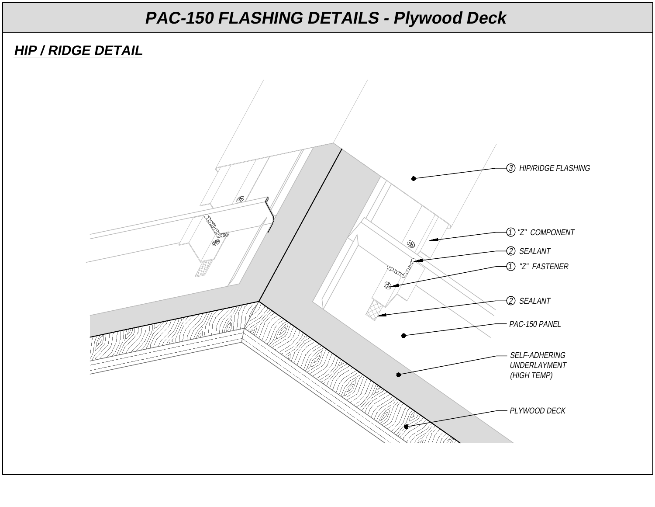#### **HIP / RIDGE DETAIL**

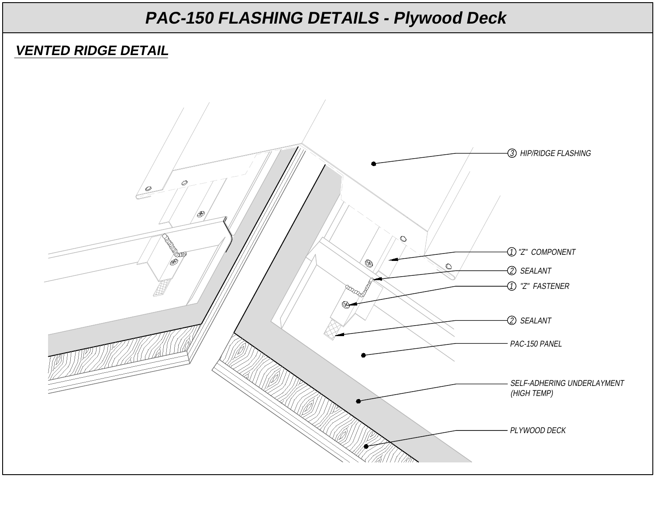#### **VENTED RIDGE DETAIL**

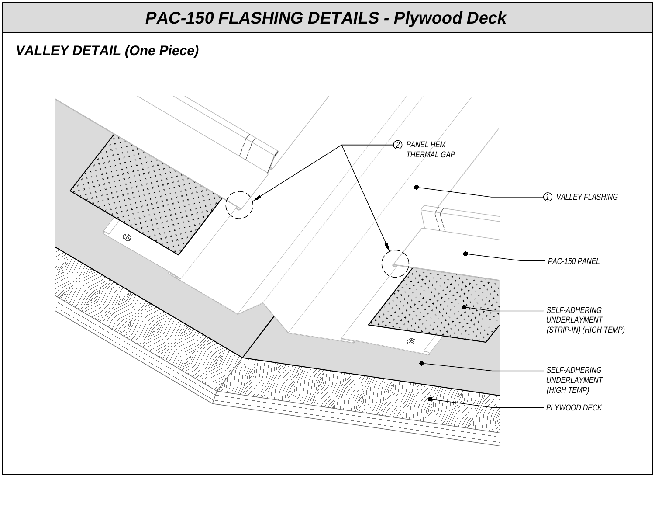### **VALLEY DETAIL (One Piece)**

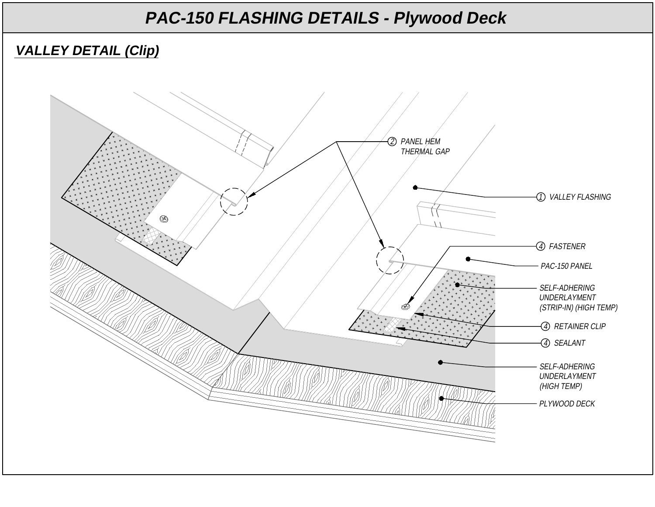### **VALLEY DETAIL (Clip)**

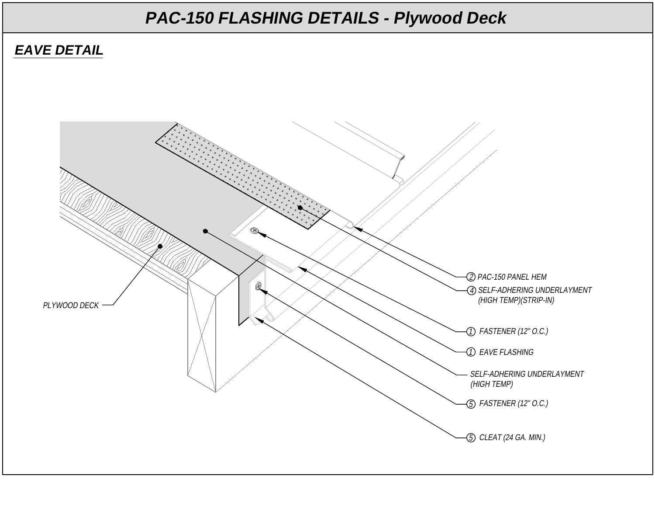#### **EAVE DETAIL**

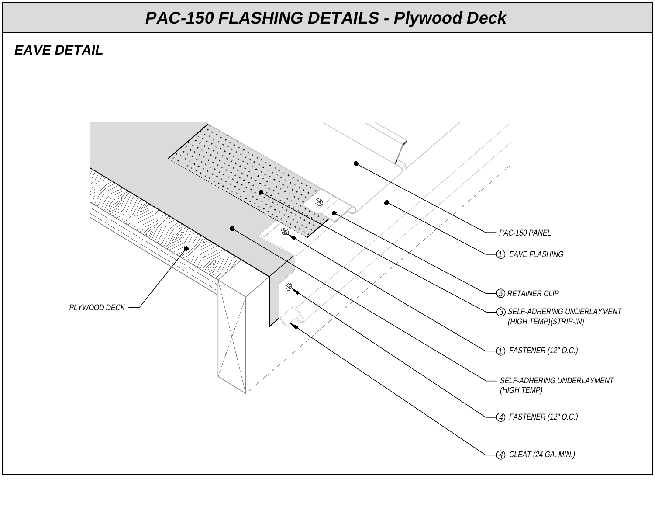#### **EAVE DETAIL**

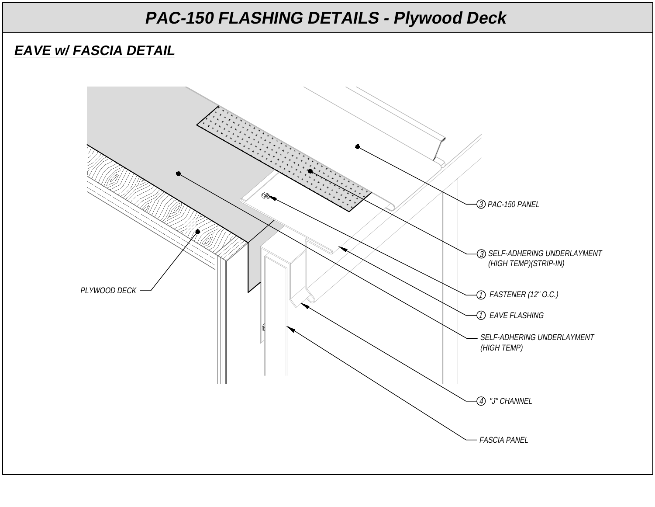#### **EAVE w/ FASCIA DETAIL**

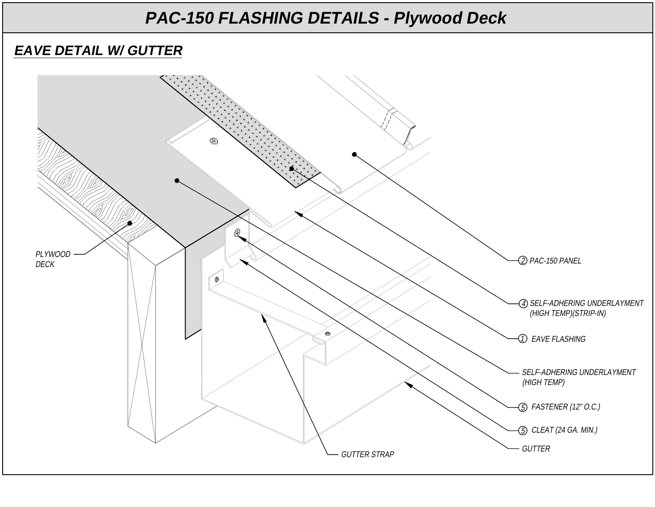#### **EAVE DETAIL W/ GUTTER**

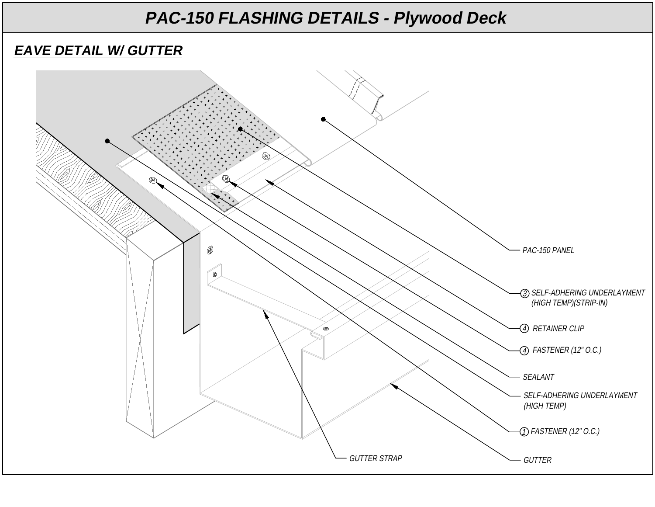#### **EAVE DETAIL W/ GUTTER**

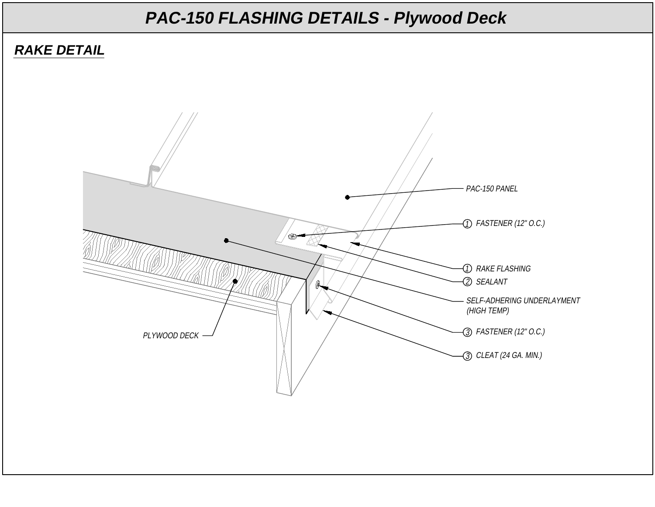#### **RAKE DETAIL**

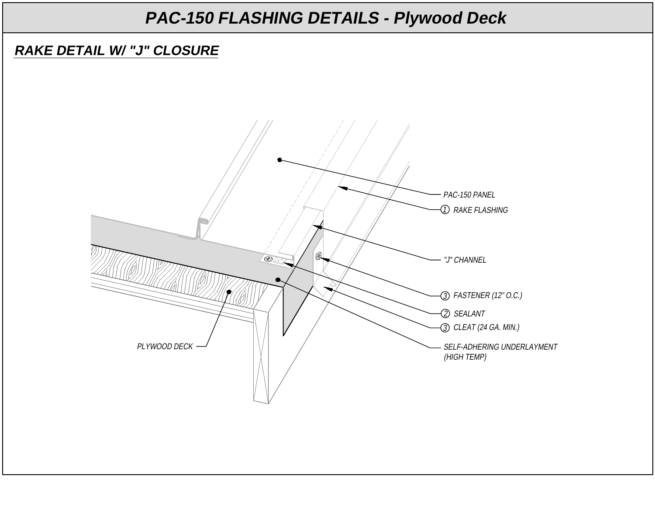#### **RAKE DETAIL W/ "J" CLOSURE**

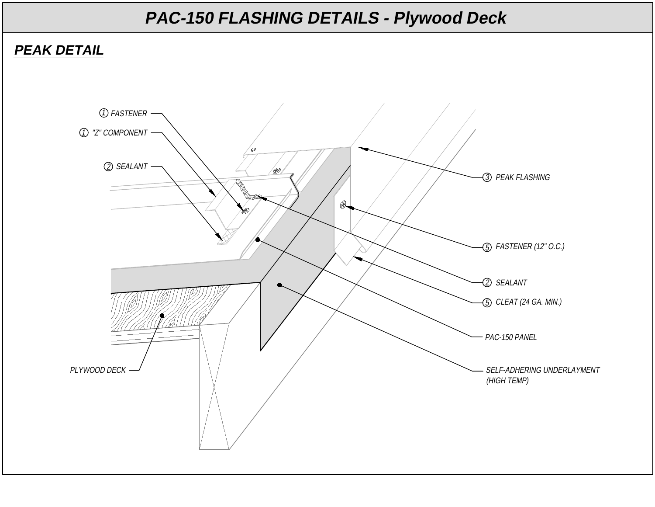#### **PEAK DETAIL**

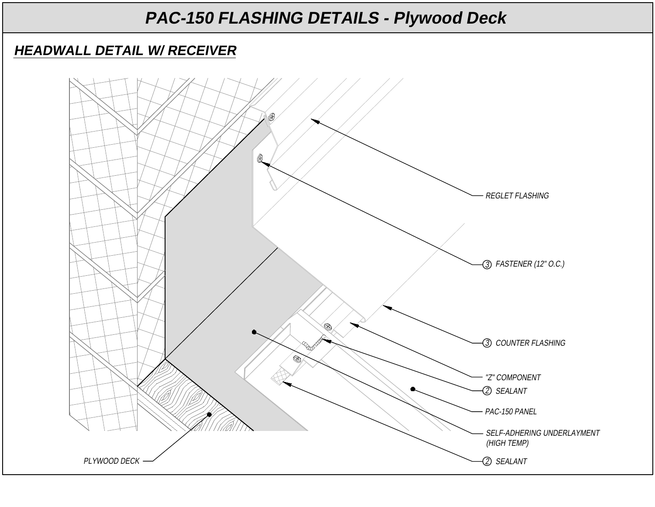#### **HEADWALL DETAIL W/ RECEIVER**

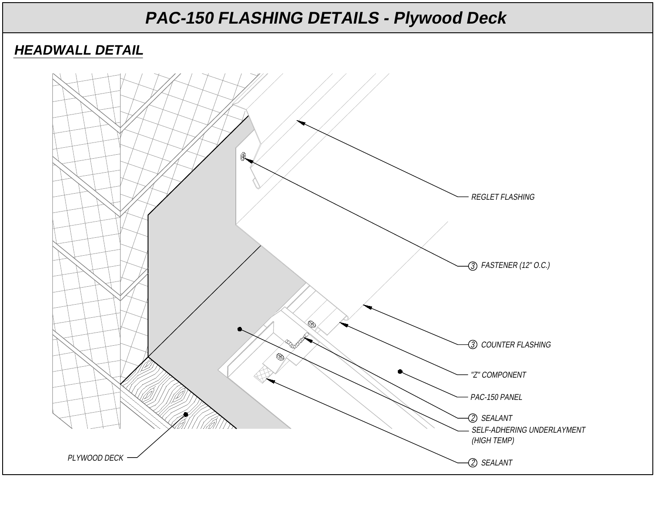#### **HEADWALL DETAIL**

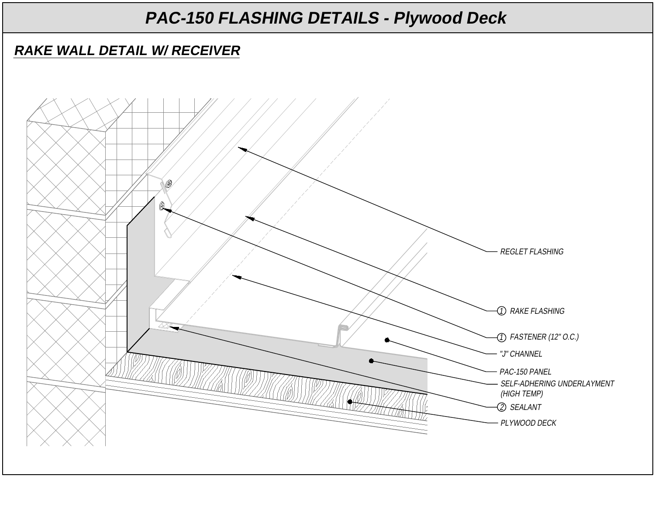#### **RAKE WALL DETAIL W/ RECEIVER**

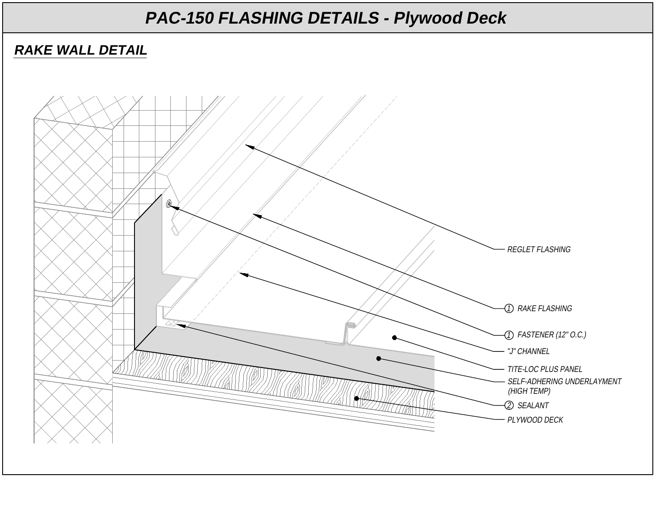#### **RAKE WALL DETAIL**

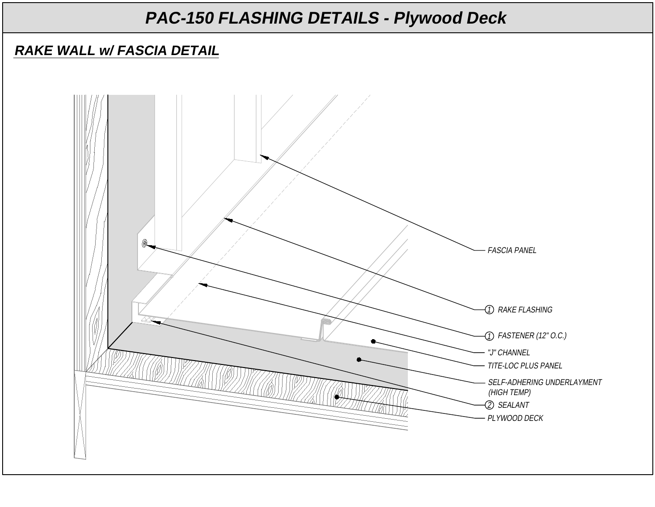### **RAKE WALL w/ FASCIA DETAIL**